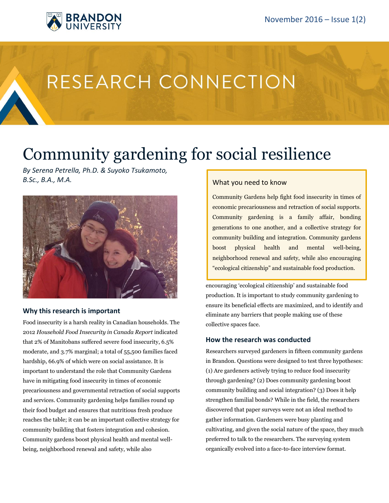

# RESEARCH CONNECTION

## Community gardening for social resilience

*By Serena Petrella, Ph.D. & Suyoko Tsukamoto, B.Sc., B.A., M.A.*



## **Why this research is important**

Food insecurity is a harsh reality in Canadian households. The 2012 *Household Food Insecurity in Canada Report* indicated that 2% of Manitobans suffered severe food insecurity, 6.5% moderate, and 3.7% marginal; a total of 55,500 families faced hardship, 66.9% of which were on social assistance. It is important to understand the role that Community Gardens have in mitigating food insecurity in times of economic precariousness and governmental retraction of social supports and services. Community gardening helps families round up their food budget and ensures that nutritious fresh produce reaches the table; it can be an important collective strategy for community building that fosters integration and cohesion. Community gardens boost physical health and mental wellbeing, neighborhood renewal and safety, while also

## What you need to know

Community Gardens help fight food insecurity in times of economic precariousness and retraction of social supports. Community gardening is a family affair, bonding generations to one another, and a collective strategy for community building and integration. Community gardens boost physical health and mental well-being, neighborhood renewal and safety, while also encouraging "ecological citizenship" and sustainable food production.

encouraging 'ecological citizenship' and sustainable food production. It is important to study community gardening to ensure its beneficial effects are maximized, and to identify and eliminate any barriers that people making use of these collective spaces face.

## **How the research was conducted**

Researchers surveyed gardeners in fifteen community gardens in Brandon. Questions were designed to test three hypotheses: (1) Are gardeners actively trying to reduce food insecurity through gardening? (2) Does community gardening boost community building and social integration? (3) Does it help strengthen familial bonds? While in the field, the researchers discovered that paper surveys were not an ideal method to gather information. Gardeners were busy planting and cultivating, and given the social nature of the space, they much preferred to talk to the researchers. The surveying system organically evolved into a face-to-face interview format.